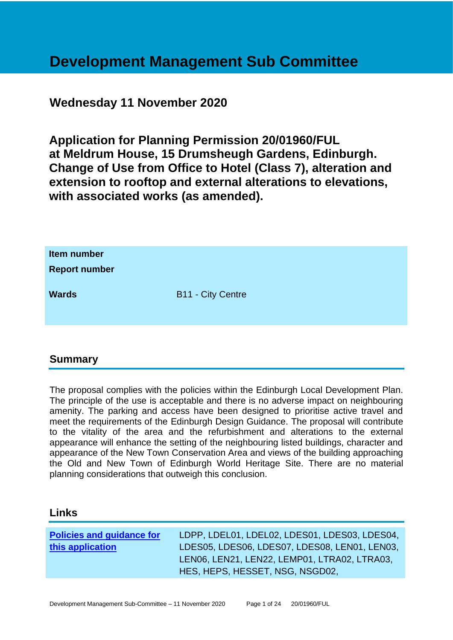# **Development Management Sub Committee**

# **Wednesday 11 November 2020**

**Application for Planning Permission 20/01960/FUL at Meldrum House, 15 Drumsheugh Gardens, Edinburgh. Change of Use from Office to Hotel (Class 7), alteration and extension to rooftop and external alterations to elevations, with associated works (as amended).**

| Item number<br><b>Report number</b> |                          |
|-------------------------------------|--------------------------|
| <b>Wards</b>                        | <b>B11 - City Centre</b> |

# **Summary**

The proposal complies with the policies within the Edinburgh Local Development Plan. The principle of the use is acceptable and there is no adverse impact on neighbouring amenity. The parking and access have been designed to prioritise active travel and meet the requirements of the Edinburgh Design Guidance. The proposal will contribute to the vitality of the area and the refurbishment and alterations to the external appearance will enhance the setting of the neighbouring listed buildings, character and appearance of the New Town Conservation Area and views of the building approaching the Old and New Town of Edinburgh World Heritage Site. There are no material planning considerations that outweigh this conclusion.

#### **Links**

| <b>Policies and guidance for</b> | LDPP, LDEL01, LDEL02, LDES01, LDES03, LDES04, |
|----------------------------------|-----------------------------------------------|
| this application                 | LDES05, LDES06, LDES07, LDES08, LEN01, LEN03, |
|                                  | LENO6, LEN21, LEN22, LEMP01, LTRA02, LTRA03,  |
|                                  | HES, HEPS, HESSET, NSG, NSGD02,               |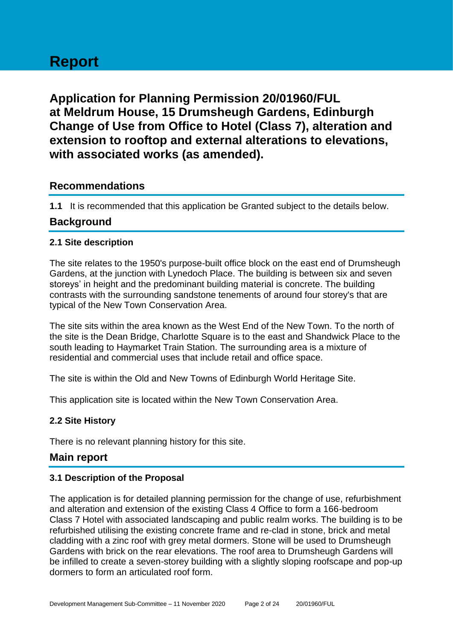# **Report**

**Application for Planning Permission 20/01960/FUL at Meldrum House, 15 Drumsheugh Gardens, Edinburgh Change of Use from Office to Hotel (Class 7), alteration and extension to rooftop and external alterations to elevations, with associated works (as amended).**

# **Recommendations**

**1.1** It is recommended that this application be Granted subject to the details below.

# **Background**

#### **2.1 Site description**

The site relates to the 1950's purpose-built office block on the east end of Drumsheugh Gardens, at the junction with Lynedoch Place. The building is between six and seven storeys' in height and the predominant building material is concrete. The building contrasts with the surrounding sandstone tenements of around four storey's that are typical of the New Town Conservation Area.

The site sits within the area known as the West End of the New Town. To the north of the site is the Dean Bridge, Charlotte Square is to the east and Shandwick Place to the south leading to Haymarket Train Station. The surrounding area is a mixture of residential and commercial uses that include retail and office space.

The site is within the Old and New Towns of Edinburgh World Heritage Site.

This application site is located within the New Town Conservation Area.

#### **2.2 Site History**

There is no relevant planning history for this site.

#### **Main report**

#### **3.1 Description of the Proposal**

The application is for detailed planning permission for the change of use, refurbishment and alteration and extension of the existing Class 4 Office to form a 166-bedroom Class 7 Hotel with associated landscaping and public realm works. The building is to be refurbished utilising the existing concrete frame and re-clad in stone, brick and metal cladding with a zinc roof with grey metal dormers. Stone will be used to Drumsheugh Gardens with brick on the rear elevations. The roof area to Drumsheugh Gardens will be infilled to create a seven-storey building with a slightly sloping roofscape and pop-up dormers to form an articulated roof form.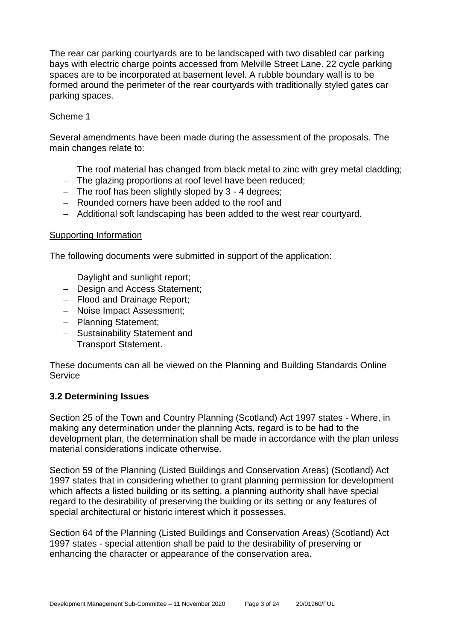The rear car parking courtyards are to be landscaped with two disabled car parking bays with electric charge points accessed from Melville Street Lane. 22 cycle parking spaces are to be incorporated at basement level. A rubble boundary wall is to be formed around the perimeter of the rear courtyards with traditionally styled gates car parking spaces.

#### Scheme 1

Several amendments have been made during the assessment of the proposals. The main changes relate to:

- − The roof material has changed from black metal to zinc with grey metal cladding;
- − The glazing proportions at roof level have been reduced;
- − The roof has been slightly sloped by 3 4 degrees;
- − Rounded corners have been added to the roof and
- − Additional soft landscaping has been added to the west rear courtyard.

#### Supporting Information

The following documents were submitted in support of the application:

- − Daylight and sunlight report;
- − Design and Access Statement;
- − Flood and Drainage Report;
- − Noise Impact Assessment;
- − Planning Statement;
- − Sustainability Statement and
- − Transport Statement.

These documents can all be viewed on the Planning and Building Standards Online **Service** 

#### **3.2 Determining Issues**

Section 25 of the Town and Country Planning (Scotland) Act 1997 states - Where, in making any determination under the planning Acts, regard is to be had to the development plan, the determination shall be made in accordance with the plan unless material considerations indicate otherwise.

Section 59 of the Planning (Listed Buildings and Conservation Areas) (Scotland) Act 1997 states that in considering whether to grant planning permission for development which affects a listed building or its setting, a planning authority shall have special regard to the desirability of preserving the building or its setting or any features of special architectural or historic interest which it possesses.

Section 64 of the Planning (Listed Buildings and Conservation Areas) (Scotland) Act 1997 states - special attention shall be paid to the desirability of preserving or enhancing the character or appearance of the conservation area.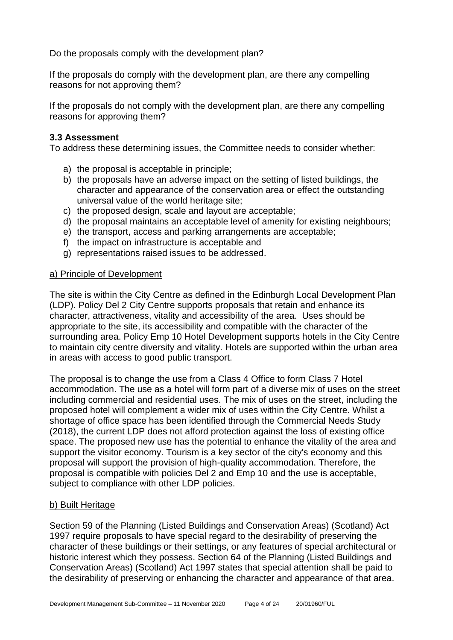Do the proposals comply with the development plan?

If the proposals do comply with the development plan, are there any compelling reasons for not approving them?

If the proposals do not comply with the development plan, are there any compelling reasons for approving them?

#### **3.3 Assessment**

To address these determining issues, the Committee needs to consider whether:

- a) the proposal is acceptable in principle;
- b) the proposals have an adverse impact on the setting of listed buildings, the character and appearance of the conservation area or effect the outstanding universal value of the world heritage site;
- c) the proposed design, scale and layout are acceptable;
- d) the proposal maintains an acceptable level of amenity for existing neighbours;
- e) the transport, access and parking arrangements are acceptable;
- f) the impact on infrastructure is acceptable and
- g) representations raised issues to be addressed.

#### a) Principle of Development

The site is within the City Centre as defined in the Edinburgh Local Development Plan (LDP). Policy Del 2 City Centre supports proposals that retain and enhance its character, attractiveness, vitality and accessibility of the area. Uses should be appropriate to the site, its accessibility and compatible with the character of the surrounding area. Policy Emp 10 Hotel Development supports hotels in the City Centre to maintain city centre diversity and vitality. Hotels are supported within the urban area in areas with access to good public transport.

The proposal is to change the use from a Class 4 Office to form Class 7 Hotel accommodation. The use as a hotel will form part of a diverse mix of uses on the street including commercial and residential uses. The mix of uses on the street, including the proposed hotel will complement a wider mix of uses within the City Centre. Whilst a shortage of office space has been identified through the Commercial Needs Study (2018), the current LDP does not afford protection against the loss of existing office space. The proposed new use has the potential to enhance the vitality of the area and support the visitor economy. Tourism is a key sector of the city's economy and this proposal will support the provision of high-quality accommodation. Therefore, the proposal is compatible with policies Del 2 and Emp 10 and the use is acceptable, subject to compliance with other LDP policies.

#### b) Built Heritage

Section 59 of the Planning (Listed Buildings and Conservation Areas) (Scotland) Act 1997 require proposals to have special regard to the desirability of preserving the character of these buildings or their settings, or any features of special architectural or historic interest which they possess. Section 64 of the Planning (Listed Buildings and Conservation Areas) (Scotland) Act 1997 states that special attention shall be paid to the desirability of preserving or enhancing the character and appearance of that area.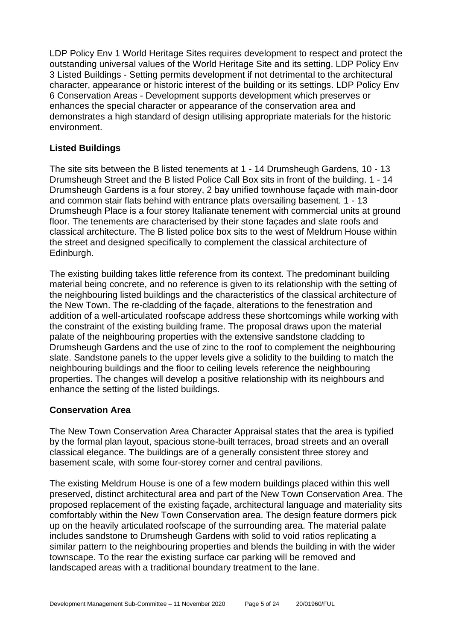LDP Policy Env 1 World Heritage Sites requires development to respect and protect the outstanding universal values of the World Heritage Site and its setting. LDP Policy Env 3 Listed Buildings - Setting permits development if not detrimental to the architectural character, appearance or historic interest of the building or its settings. LDP Policy Env 6 Conservation Areas - Development supports development which preserves or enhances the special character or appearance of the conservation area and demonstrates a high standard of design utilising appropriate materials for the historic environment.

#### **Listed Buildings**

The site sits between the B listed tenements at 1 - 14 Drumsheugh Gardens, 10 - 13 Drumsheugh Street and the B listed Police Call Box sits in front of the building. 1 - 14 Drumsheugh Gardens is a four storey, 2 bay unified townhouse façade with main-door and common stair flats behind with entrance plats oversailing basement. 1 - 13 Drumsheugh Place is a four storey Italianate tenement with commercial units at ground floor. The tenements are characterised by their stone façades and slate roofs and classical architecture. The B listed police box sits to the west of Meldrum House within the street and designed specifically to complement the classical architecture of Edinburgh.

The existing building takes little reference from its context. The predominant building material being concrete, and no reference is given to its relationship with the setting of the neighbouring listed buildings and the characteristics of the classical architecture of the New Town. The re-cladding of the façade, alterations to the fenestration and addition of a well-articulated roofscape address these shortcomings while working with the constraint of the existing building frame. The proposal draws upon the material palate of the neighbouring properties with the extensive sandstone cladding to Drumsheugh Gardens and the use of zinc to the roof to complement the neighbouring slate. Sandstone panels to the upper levels give a solidity to the building to match the neighbouring buildings and the floor to ceiling levels reference the neighbouring properties. The changes will develop a positive relationship with its neighbours and enhance the setting of the listed buildings.

#### **Conservation Area**

The New Town Conservation Area Character Appraisal states that the area is typified by the formal plan layout, spacious stone-built terraces, broad streets and an overall classical elegance. The buildings are of a generally consistent three storey and basement scale, with some four-storey corner and central pavilions.

The existing Meldrum House is one of a few modern buildings placed within this well preserved, distinct architectural area and part of the New Town Conservation Area. The proposed replacement of the existing façade, architectural language and materiality sits comfortably within the New Town Conservation area. The design feature dormers pick up on the heavily articulated roofscape of the surrounding area. The material palate includes sandstone to Drumsheugh Gardens with solid to void ratios replicating a similar pattern to the neighbouring properties and blends the building in with the wider townscape. To the rear the existing surface car parking will be removed and landscaped areas with a traditional boundary treatment to the lane.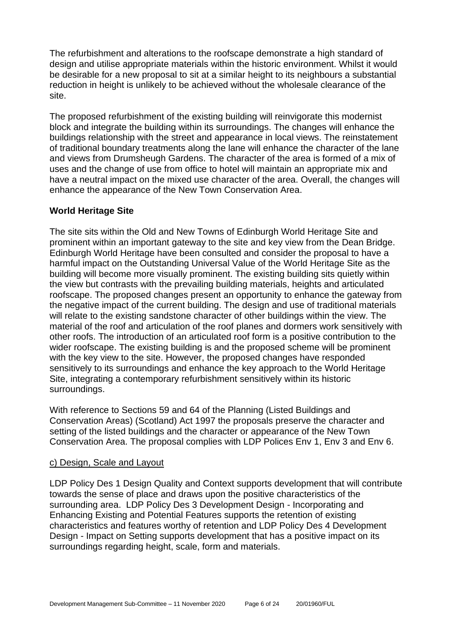The refurbishment and alterations to the roofscape demonstrate a high standard of design and utilise appropriate materials within the historic environment. Whilst it would be desirable for a new proposal to sit at a similar height to its neighbours a substantial reduction in height is unlikely to be achieved without the wholesale clearance of the site.

The proposed refurbishment of the existing building will reinvigorate this modernist block and integrate the building within its surroundings. The changes will enhance the buildings relationship with the street and appearance in local views. The reinstatement of traditional boundary treatments along the lane will enhance the character of the lane and views from Drumsheugh Gardens. The character of the area is formed of a mix of uses and the change of use from office to hotel will maintain an appropriate mix and have a neutral impact on the mixed use character of the area. Overall, the changes will enhance the appearance of the New Town Conservation Area.

#### **World Heritage Site**

The site sits within the Old and New Towns of Edinburgh World Heritage Site and prominent within an important gateway to the site and key view from the Dean Bridge. Edinburgh World Heritage have been consulted and consider the proposal to have a harmful impact on the Outstanding Universal Value of the World Heritage Site as the building will become more visually prominent. The existing building sits quietly within the view but contrasts with the prevailing building materials, heights and articulated roofscape. The proposed changes present an opportunity to enhance the gateway from the negative impact of the current building. The design and use of traditional materials will relate to the existing sandstone character of other buildings within the view. The material of the roof and articulation of the roof planes and dormers work sensitively with other roofs. The introduction of an articulated roof form is a positive contribution to the wider roofscape. The existing building is and the proposed scheme will be prominent with the key view to the site. However, the proposed changes have responded sensitively to its surroundings and enhance the key approach to the World Heritage Site, integrating a contemporary refurbishment sensitively within its historic surroundings.

With reference to Sections 59 and 64 of the Planning (Listed Buildings and Conservation Areas) (Scotland) Act 1997 the proposals preserve the character and setting of the listed buildings and the character or appearance of the New Town Conservation Area. The proposal complies with LDP Polices Env 1, Env 3 and Env 6.

#### c) Design, Scale and Layout

LDP Policy Des 1 Design Quality and Context supports development that will contribute towards the sense of place and draws upon the positive characteristics of the surrounding area. LDP Policy Des 3 Development Design - Incorporating and Enhancing Existing and Potential Features supports the retention of existing characteristics and features worthy of retention and LDP Policy Des 4 Development Design - Impact on Setting supports development that has a positive impact on its surroundings regarding height, scale, form and materials.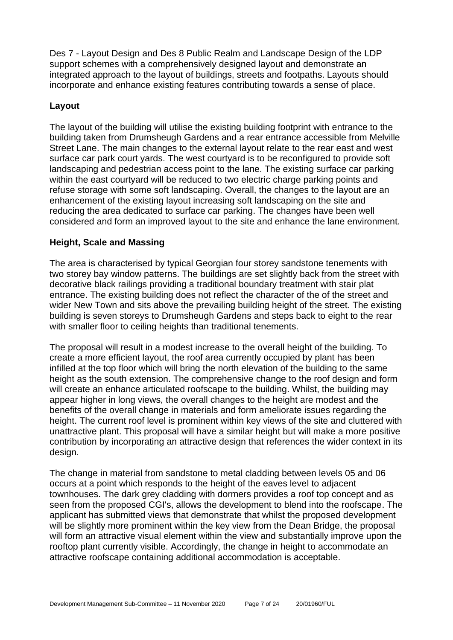Des 7 - Layout Design and Des 8 Public Realm and Landscape Design of the LDP support schemes with a comprehensively designed layout and demonstrate an integrated approach to the layout of buildings, streets and footpaths. Layouts should incorporate and enhance existing features contributing towards a sense of place.

#### **Layout**

The layout of the building will utilise the existing building footprint with entrance to the building taken from Drumsheugh Gardens and a rear entrance accessible from Melville Street Lane. The main changes to the external layout relate to the rear east and west surface car park court yards. The west courtyard is to be reconfigured to provide soft landscaping and pedestrian access point to the lane. The existing surface car parking within the east courtvard will be reduced to two electric charge parking points and refuse storage with some soft landscaping. Overall, the changes to the layout are an enhancement of the existing layout increasing soft landscaping on the site and reducing the area dedicated to surface car parking. The changes have been well considered and form an improved layout to the site and enhance the lane environment.

#### **Height, Scale and Massing**

The area is characterised by typical Georgian four storey sandstone tenements with two storey bay window patterns. The buildings are set slightly back from the street with decorative black railings providing a traditional boundary treatment with stair plat entrance. The existing building does not reflect the character of the of the street and wider New Town and sits above the prevailing building height of the street. The existing building is seven storeys to Drumsheugh Gardens and steps back to eight to the rear with smaller floor to ceiling heights than traditional tenements.

The proposal will result in a modest increase to the overall height of the building. To create a more efficient layout, the roof area currently occupied by plant has been infilled at the top floor which will bring the north elevation of the building to the same height as the south extension. The comprehensive change to the roof design and form will create an enhance articulated roofscape to the building. Whilst, the building may appear higher in long views, the overall changes to the height are modest and the benefits of the overall change in materials and form ameliorate issues regarding the height. The current roof level is prominent within key views of the site and cluttered with unattractive plant. This proposal will have a similar height but will make a more positive contribution by incorporating an attractive design that references the wider context in its design.

The change in material from sandstone to metal cladding between levels 05 and 06 occurs at a point which responds to the height of the eaves level to adjacent townhouses. The dark grey cladding with dormers provides a roof top concept and as seen from the proposed CGI's, allows the development to blend into the roofscape. The applicant has submitted views that demonstrate that whilst the proposed development will be slightly more prominent within the key view from the Dean Bridge, the proposal will form an attractive visual element within the view and substantially improve upon the rooftop plant currently visible. Accordingly, the change in height to accommodate an attractive roofscape containing additional accommodation is acceptable.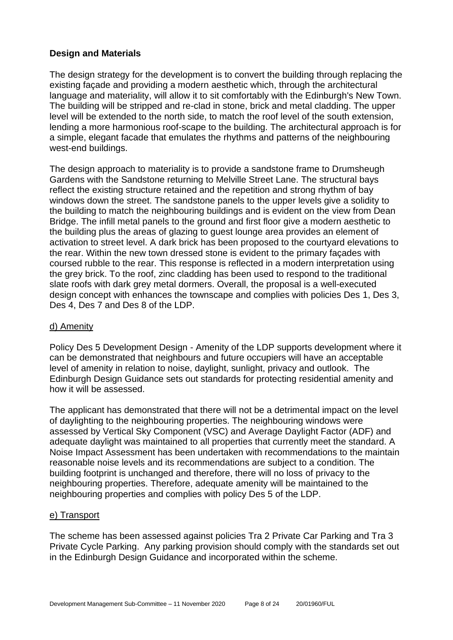#### **Design and Materials**

The design strategy for the development is to convert the building through replacing the existing façade and providing a modern aesthetic which, through the architectural language and materiality, will allow it to sit comfortably with the Edinburgh's New Town. The building will be stripped and re-clad in stone, brick and metal cladding. The upper level will be extended to the north side, to match the roof level of the south extension, lending a more harmonious roof-scape to the building. The architectural approach is for a simple, elegant facade that emulates the rhythms and patterns of the neighbouring west-end buildings.

The design approach to materiality is to provide a sandstone frame to Drumsheugh Gardens with the Sandstone returning to Melville Street Lane. The structural bays reflect the existing structure retained and the repetition and strong rhythm of bay windows down the street. The sandstone panels to the upper levels give a solidity to the building to match the neighbouring buildings and is evident on the view from Dean Bridge. The infill metal panels to the ground and first floor give a modern aesthetic to the building plus the areas of glazing to guest lounge area provides an element of activation to street level. A dark brick has been proposed to the courtyard elevations to the rear. Within the new town dressed stone is evident to the primary façades with coursed rubble to the rear. This response is reflected in a modern interpretation using the grey brick. To the roof, zinc cladding has been used to respond to the traditional slate roofs with dark grey metal dormers. Overall, the proposal is a well-executed design concept with enhances the townscape and complies with policies Des 1, Des 3, Des 4, Des 7 and Des 8 of the LDP.

#### d) Amenity

Policy Des 5 Development Design - Amenity of the LDP supports development where it can be demonstrated that neighbours and future occupiers will have an acceptable level of amenity in relation to noise, daylight, sunlight, privacy and outlook. The Edinburgh Design Guidance sets out standards for protecting residential amenity and how it will be assessed.

The applicant has demonstrated that there will not be a detrimental impact on the level of daylighting to the neighbouring properties. The neighbouring windows were assessed by Vertical Sky Component (VSC) and Average Daylight Factor (ADF) and adequate daylight was maintained to all properties that currently meet the standard. A Noise Impact Assessment has been undertaken with recommendations to the maintain reasonable noise levels and its recommendations are subject to a condition. The building footprint is unchanged and therefore, there will no loss of privacy to the neighbouring properties. Therefore, adequate amenity will be maintained to the neighbouring properties and complies with policy Des 5 of the LDP.

#### e) Transport

The scheme has been assessed against policies Tra 2 Private Car Parking and Tra 3 Private Cycle Parking. Any parking provision should comply with the standards set out in the Edinburgh Design Guidance and incorporated within the scheme.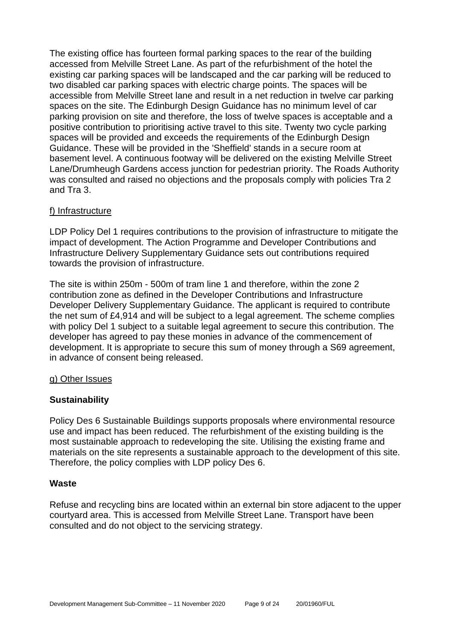The existing office has fourteen formal parking spaces to the rear of the building accessed from Melville Street Lane. As part of the refurbishment of the hotel the existing car parking spaces will be landscaped and the car parking will be reduced to two disabled car parking spaces with electric charge points. The spaces will be accessible from Melville Street lane and result in a net reduction in twelve car parking spaces on the site. The Edinburgh Design Guidance has no minimum level of car parking provision on site and therefore, the loss of twelve spaces is acceptable and a positive contribution to prioritising active travel to this site. Twenty two cycle parking spaces will be provided and exceeds the requirements of the Edinburgh Design Guidance. These will be provided in the 'Sheffield' stands in a secure room at basement level. A continuous footway will be delivered on the existing Melville Street Lane/Drumheugh Gardens access junction for pedestrian priority. The Roads Authority was consulted and raised no objections and the proposals comply with policies Tra 2 and Tra 3.

#### f) Infrastructure

LDP Policy Del 1 requires contributions to the provision of infrastructure to mitigate the impact of development. The Action Programme and Developer Contributions and Infrastructure Delivery Supplementary Guidance sets out contributions required towards the provision of infrastructure.

The site is within 250m - 500m of tram line 1 and therefore, within the zone 2 contribution zone as defined in the Developer Contributions and Infrastructure Developer Delivery Supplementary Guidance. The applicant is required to contribute the net sum of £4,914 and will be subject to a legal agreement. The scheme complies with policy Del 1 subject to a suitable legal agreement to secure this contribution. The developer has agreed to pay these monies in advance of the commencement of development. It is appropriate to secure this sum of money through a S69 agreement, in advance of consent being released.

#### g) Other Issues

#### **Sustainability**

Policy Des 6 Sustainable Buildings supports proposals where environmental resource use and impact has been reduced. The refurbishment of the existing building is the most sustainable approach to redeveloping the site. Utilising the existing frame and materials on the site represents a sustainable approach to the development of this site. Therefore, the policy complies with LDP policy Des 6.

#### **Waste**

Refuse and recycling bins are located within an external bin store adjacent to the upper courtyard area. This is accessed from Melville Street Lane. Transport have been consulted and do not object to the servicing strategy.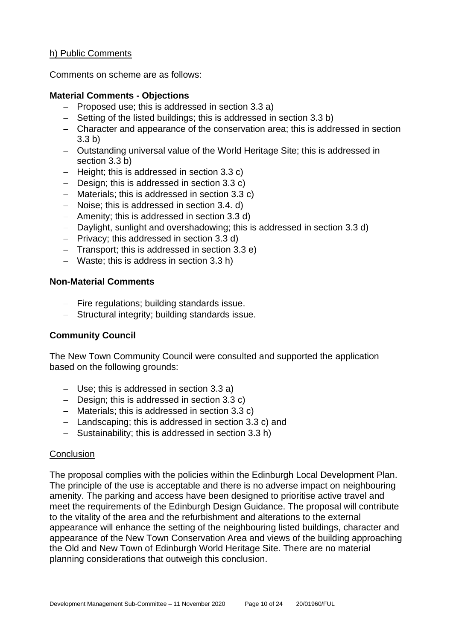#### h) Public Comments

Comments on scheme are as follows:

#### **Material Comments - Objections**

- − Proposed use; this is addressed in section 3.3 a)
- − Setting of the listed buildings; this is addressed in section 3.3 b)
- − Character and appearance of the conservation area; this is addressed in section 3.3 b)
- − Outstanding universal value of the World Heritage Site; this is addressed in section 3.3 b)
- − Height; this is addressed in section 3.3 c)
- − Design; this is addressed in section 3.3 c)
- − Materials; this is addressed in section 3.3 c)
- − Noise; this is addressed in section 3.4. d)
- − Amenity; this is addressed in section 3.3 d)
- − Daylight, sunlight and overshadowing; this is addressed in section 3.3 d)
- − Privacy; this addressed in section 3.3 d)
- − Transport; this is addressed in section 3.3 e)
- − Waste; this is address in section 3.3 h)

#### **Non-Material Comments**

- − Fire regulations; building standards issue.
- − Structural integrity; building standards issue.

#### **Community Council**

The New Town Community Council were consulted and supported the application based on the following grounds:

- − Use; this is addressed in section 3.3 a)
- − Design; this is addressed in section 3.3 c)
- − Materials; this is addressed in section 3.3 c)
- − Landscaping; this is addressed in section 3.3 c) and
- − Sustainability; this is addressed in section 3.3 h)

#### **Conclusion**

The proposal complies with the policies within the Edinburgh Local Development Plan. The principle of the use is acceptable and there is no adverse impact on neighbouring amenity. The parking and access have been designed to prioritise active travel and meet the requirements of the Edinburgh Design Guidance. The proposal will contribute to the vitality of the area and the refurbishment and alterations to the external appearance will enhance the setting of the neighbouring listed buildings, character and appearance of the New Town Conservation Area and views of the building approaching the Old and New Town of Edinburgh World Heritage Site. There are no material planning considerations that outweigh this conclusion.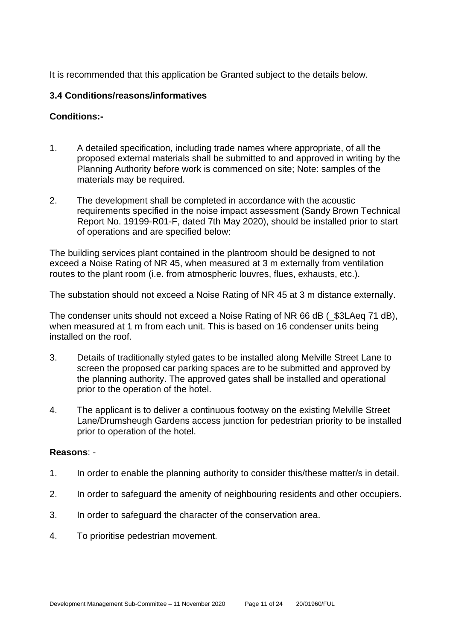It is recommended that this application be Granted subject to the details below.

#### **3.4 Conditions/reasons/informatives**

#### **Conditions:-**

- 1. A detailed specification, including trade names where appropriate, of all the proposed external materials shall be submitted to and approved in writing by the Planning Authority before work is commenced on site; Note: samples of the materials may be required.
- 2. The development shall be completed in accordance with the acoustic requirements specified in the noise impact assessment (Sandy Brown Technical Report No. 19199-R01-F, dated 7th May 2020), should be installed prior to start of operations and are specified below:

The building services plant contained in the plantroom should be designed to not exceed a Noise Rating of NR 45, when measured at 3 m externally from ventilation routes to the plant room (i.e. from atmospheric louvres, flues, exhausts, etc.).

The substation should not exceed a Noise Rating of NR 45 at 3 m distance externally.

The condenser units should not exceed a Noise Rating of NR 66 dB (\_\$3LAeq 71 dB), when measured at 1 m from each unit. This is based on 16 condenser units being installed on the roof.

- 3. Details of traditionally styled gates to be installed along Melville Street Lane to screen the proposed car parking spaces are to be submitted and approved by the planning authority. The approved gates shall be installed and operational prior to the operation of the hotel.
- 4. The applicant is to deliver a continuous footway on the existing Melville Street Lane/Drumsheugh Gardens access junction for pedestrian priority to be installed prior to operation of the hotel.

#### **Reasons**: -

- 1. In order to enable the planning authority to consider this/these matter/s in detail.
- 2. In order to safeguard the amenity of neighbouring residents and other occupiers.
- 3. In order to safeguard the character of the conservation area.
- 4. To prioritise pedestrian movement.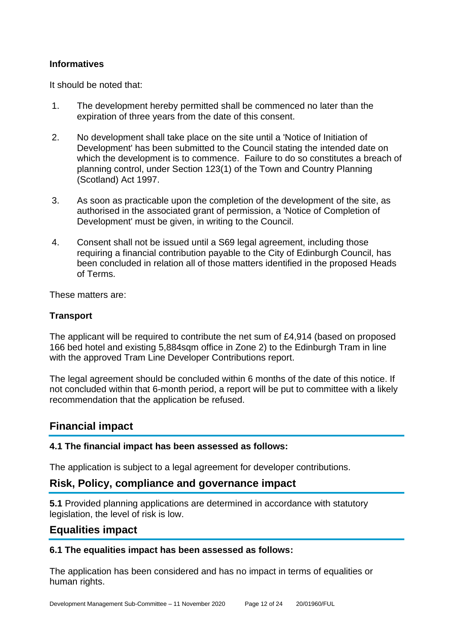#### **Informatives**

It should be noted that:

- 1. The development hereby permitted shall be commenced no later than the expiration of three years from the date of this consent.
- 2. No development shall take place on the site until a 'Notice of Initiation of Development' has been submitted to the Council stating the intended date on which the development is to commence. Failure to do so constitutes a breach of planning control, under Section 123(1) of the Town and Country Planning (Scotland) Act 1997.
- 3. As soon as practicable upon the completion of the development of the site, as authorised in the associated grant of permission, a 'Notice of Completion of Development' must be given, in writing to the Council.
- 4. Consent shall not be issued until a S69 legal agreement, including those requiring a financial contribution payable to the City of Edinburgh Council, has been concluded in relation all of those matters identified in the proposed Heads of Terms.

These matters are:

#### **Transport**

The applicant will be required to contribute the net sum of £4,914 (based on proposed 166 bed hotel and existing 5,884sqm office in Zone 2) to the Edinburgh Tram in line with the approved Tram Line Developer Contributions report.

The legal agreement should be concluded within 6 months of the date of this notice. If not concluded within that 6-month period, a report will be put to committee with a likely recommendation that the application be refused.

# **Financial impact**

#### **4.1 The financial impact has been assessed as follows:**

The application is subject to a legal agreement for developer contributions.

#### **Risk, Policy, compliance and governance impact**

**5.1** Provided planning applications are determined in accordance with statutory legislation, the level of risk is low.

#### **Equalities impact**

#### **6.1 The equalities impact has been assessed as follows:**

The application has been considered and has no impact in terms of equalities or human rights.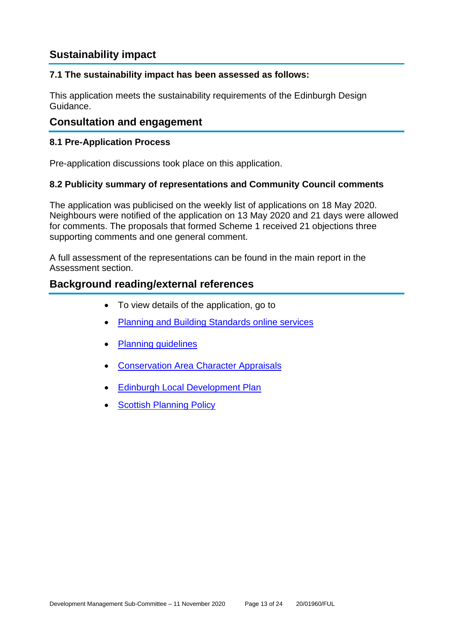# **Sustainability impact**

#### **7.1 The sustainability impact has been assessed as follows:**

This application meets the sustainability requirements of the Edinburgh Design Guidance.

## **Consultation and engagement**

#### **8.1 Pre-Application Process**

Pre-application discussions took place on this application.

#### **8.2 Publicity summary of representations and Community Council comments**

The application was publicised on the weekly list of applications on 18 May 2020. Neighbours were notified of the application on 13 May 2020 and 21 days were allowed for comments. The proposals that formed Scheme 1 received 21 objections three supporting comments and one general comment.

A full assessment of the representations can be found in the main report in the Assessment section.

## **Background reading/external references**

- To view details of the application, go to
- Planning and Building [Standards online services](https://citydev-portal.edinburgh.gov.uk/idoxpa-web/search.do?action=simple&searchType=Application)
- [Planning guidelines](http://www.edinburgh.gov.uk/planningguidelines)
- [Conservation Area Character Appraisals](http://www.edinburgh.gov.uk/characterappraisals)
- [Edinburgh Local Development Plan](http://www.edinburgh.gov.uk/localdevelopmentplan)
- **[Scottish Planning Policy](http://www.scotland.gov.uk/Topics/Built-Environment/planning/Policy)**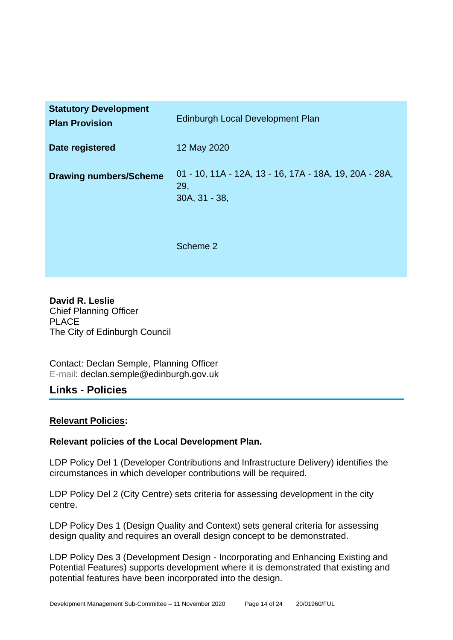| <b>Statutory Development</b><br><b>Plan Provision</b> | <b>Edinburgh Local Development Plan</b>                                        |
|-------------------------------------------------------|--------------------------------------------------------------------------------|
| Date registered                                       | 12 May 2020                                                                    |
| <b>Drawing numbers/Scheme</b>                         | 01 - 10, 11A - 12A, 13 - 16, 17A - 18A, 19, 20A - 28A,<br>29,<br>30A, 31 - 38, |
|                                                       | Scheme 2                                                                       |

**David R. Leslie** Chief Planning Officer PLACE The City of Edinburgh Council

Contact: Declan Semple, Planning Officer E-mail: declan.semple@edinburgh.gov.uk

# **Links - Policies**

#### **Relevant Policies:**

#### **Relevant policies of the Local Development Plan.**

LDP Policy Del 1 (Developer Contributions and Infrastructure Delivery) identifies the circumstances in which developer contributions will be required.

LDP Policy Del 2 (City Centre) sets criteria for assessing development in the city centre.

LDP Policy Des 1 (Design Quality and Context) sets general criteria for assessing design quality and requires an overall design concept to be demonstrated.

LDP Policy Des 3 (Development Design - Incorporating and Enhancing Existing and Potential Features) supports development where it is demonstrated that existing and potential features have been incorporated into the design.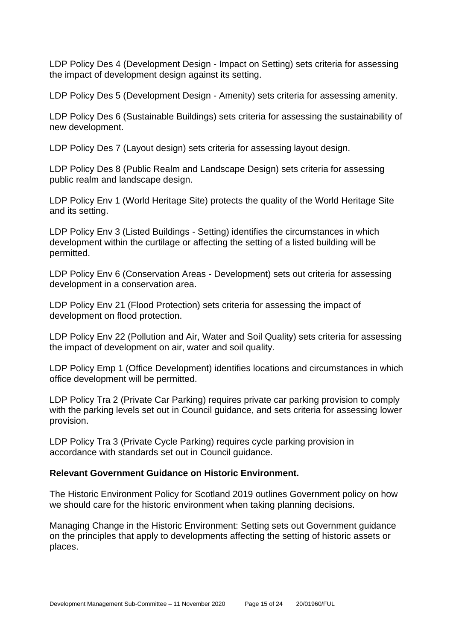LDP Policy Des 4 (Development Design - Impact on Setting) sets criteria for assessing the impact of development design against its setting.

LDP Policy Des 5 (Development Design - Amenity) sets criteria for assessing amenity.

LDP Policy Des 6 (Sustainable Buildings) sets criteria for assessing the sustainability of new development.

LDP Policy Des 7 (Layout design) sets criteria for assessing layout design.

LDP Policy Des 8 (Public Realm and Landscape Design) sets criteria for assessing public realm and landscape design.

LDP Policy Env 1 (World Heritage Site) protects the quality of the World Heritage Site and its setting.

LDP Policy Env 3 (Listed Buildings - Setting) identifies the circumstances in which development within the curtilage or affecting the setting of a listed building will be permitted.

LDP Policy Env 6 (Conservation Areas - Development) sets out criteria for assessing development in a conservation area.

LDP Policy Env 21 (Flood Protection) sets criteria for assessing the impact of development on flood protection.

LDP Policy Env 22 (Pollution and Air, Water and Soil Quality) sets criteria for assessing the impact of development on air, water and soil quality.

LDP Policy Emp 1 (Office Development) identifies locations and circumstances in which office development will be permitted.

LDP Policy Tra 2 (Private Car Parking) requires private car parking provision to comply with the parking levels set out in Council guidance, and sets criteria for assessing lower provision.

LDP Policy Tra 3 (Private Cycle Parking) requires cycle parking provision in accordance with standards set out in Council guidance.

#### **Relevant Government Guidance on Historic Environment.**

The Historic Environment Policy for Scotland 2019 outlines Government policy on how we should care for the historic environment when taking planning decisions.

Managing Change in the Historic Environment: Setting sets out Government guidance on the principles that apply to developments affecting the setting of historic assets or places.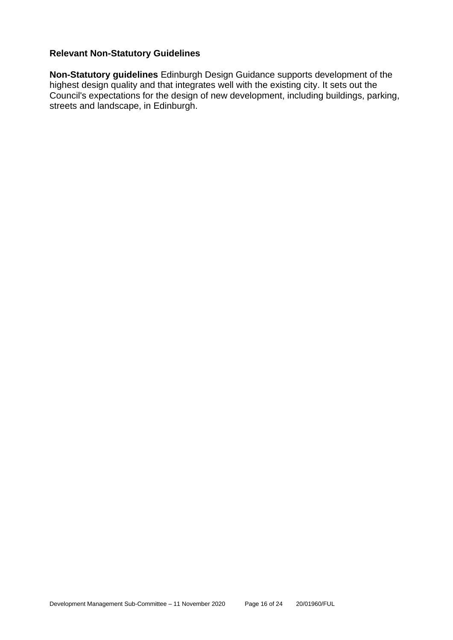#### **Relevant Non-Statutory Guidelines**

**Non-Statutory guidelines** Edinburgh Design Guidance supports development of the highest design quality and that integrates well with the existing city. It sets out the Council's expectations for the design of new development, including buildings, parking, streets and landscape, in Edinburgh.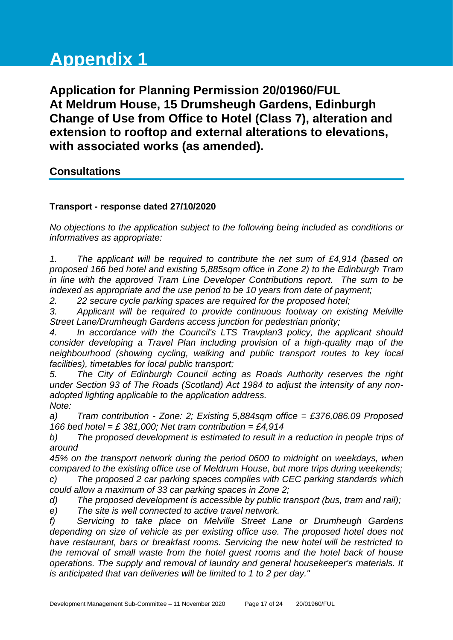# **Appendix 1**

**Application for Planning Permission 20/01960/FUL At Meldrum House, 15 Drumsheugh Gardens, Edinburgh Change of Use from Office to Hotel (Class 7), alteration and extension to rooftop and external alterations to elevations, with associated works (as amended).**

# **Consultations**

#### **Transport - response dated 27/10/2020**

*No objections to the application subject to the following being included as conditions or informatives as appropriate:*

*1. The applicant will be required to contribute the net sum of £4,914 (based on proposed 166 bed hotel and existing 5,885sqm office in Zone 2) to the Edinburgh Tram in line with the approved Tram Line Developer Contributions report. The sum to be indexed as appropriate and the use period to be 10 years from date of payment;*

*2. 22 secure cycle parking spaces are required for the proposed hotel;*

*3. Applicant will be required to provide continuous footway on existing Melville Street Lane/Drumheugh Gardens access junction for pedestrian priority;*

*4. In accordance with the Council's LTS Travplan3 policy, the applicant should consider developing a Travel Plan including provision of a high-quality map of the neighbourhood (showing cycling, walking and public transport routes to key local facilities), timetables for local public transport;*

*5. The City of Edinburgh Council acting as Roads Authority reserves the right under Section 93 of The Roads (Scotland) Act 1984 to adjust the intensity of any nonadopted lighting applicable to the application address. Note:*

*a) Tram contribution - Zone: 2; Existing 5,884sqm office = £376,086.09 Proposed 166 bed hotel = £ 381,000; Net tram contribution = £4,914*

*b) The proposed development is estimated to result in a reduction in people trips of around*

*45% on the transport network during the period 0600 to midnight on weekdays, when compared to the existing office use of Meldrum House, but more trips during weekends; c) The proposed 2 car parking spaces complies with CEC parking standards which* 

*could allow a maximum of 33 car parking spaces in Zone 2;*

*d) The proposed development is accessible by public transport (bus, tram and rail);*

*e) The site is well connected to active travel network.*

*f) Servicing to take place on Melville Street Lane or Drumheugh Gardens depending on size of vehicle as per existing office use. The proposed hotel does not have restaurant, bars or breakfast rooms. Servicing the new hotel will be restricted to the removal of small waste from the hotel guest rooms and the hotel back of house operations. The supply and removal of laundry and general housekeeper's materials. It is anticipated that van deliveries will be limited to 1 to 2 per day."*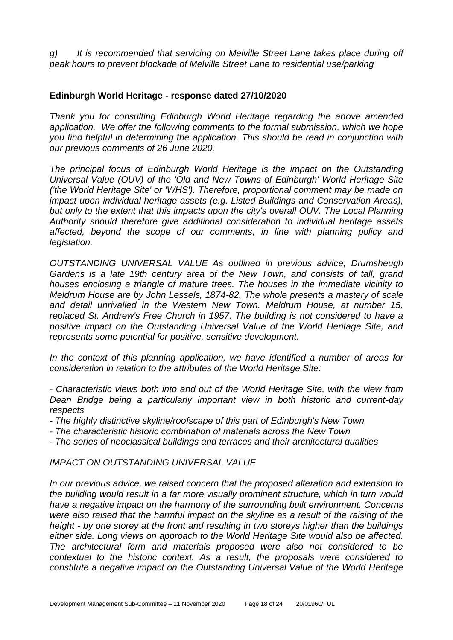*g) It is recommended that servicing on Melville Street Lane takes place during off peak hours to prevent blockade of Melville Street Lane to residential use/parking*

#### **Edinburgh World Heritage - response dated 27/10/2020**

*Thank you for consulting Edinburgh World Heritage regarding the above amended application. We offer the following comments to the formal submission, which we hope you find helpful in determining the application. This should be read in conjunction with our previous comments of 26 June 2020.* 

*The principal focus of Edinburgh World Heritage is the impact on the Outstanding Universal Value (OUV) of the 'Old and New Towns of Edinburgh' World Heritage Site ('the World Heritage Site' or 'WHS'). Therefore, proportional comment may be made on impact upon individual heritage assets (e.g. Listed Buildings and Conservation Areas), but only to the extent that this impacts upon the city's overall OUV. The Local Planning Authority should therefore give additional consideration to individual heritage assets affected, beyond the scope of our comments, in line with planning policy and legislation.* 

*OUTSTANDING UNIVERSAL VALUE As outlined in previous advice, Drumsheugh Gardens is a late 19th century area of the New Town, and consists of tall, grand houses enclosing a triangle of mature trees. The houses in the immediate vicinity to Meldrum House are by John Lessels, 1874-82. The whole presents a mastery of scale and detail unrivalled in the Western New Town. Meldrum House, at number 15, replaced St. Andrew's Free Church in 1957. The building is not considered to have a positive impact on the Outstanding Universal Value of the World Heritage Site, and represents some potential for positive, sensitive development.* 

*In the context of this planning application, we have identified a number of areas for consideration in relation to the attributes of the World Heritage Site:* 

*- Characteristic views both into and out of the World Heritage Site, with the view from Dean Bridge being a particularly important view in both historic and current-day respects* 

- *- The highly distinctive skyline/roofscape of this part of Edinburgh's New Town*
- *- The characteristic historic combination of materials across the New Town*
- *- The series of neoclassical buildings and terraces and their architectural qualities*

*IMPACT ON OUTSTANDING UNIVERSAL VALUE* 

*In our previous advice, we raised concern that the proposed alteration and extension to the building would result in a far more visually prominent structure, which in turn would have a negative impact on the harmony of the surrounding built environment. Concerns were also raised that the harmful impact on the skyline as a result of the raising of the height - by one storey at the front and resulting in two storeys higher than the buildings either side. Long views on approach to the World Heritage Site would also be affected. The architectural form and materials proposed were also not considered to be contextual to the historic context. As a result, the proposals were considered to constitute a negative impact on the Outstanding Universal Value of the World Heritage*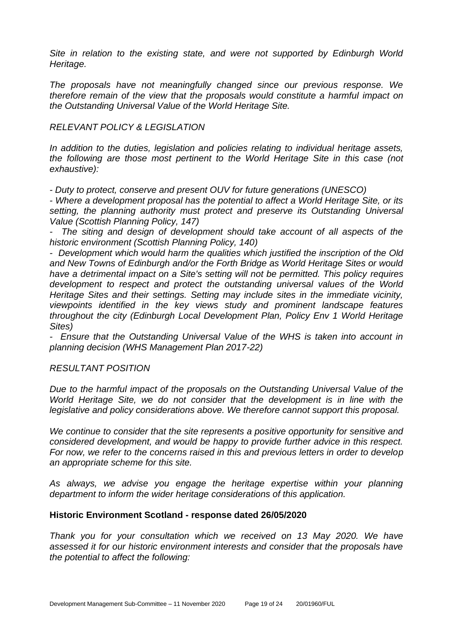*Site in relation to the existing state, and were not supported by Edinburgh World Heritage.* 

*The proposals have not meaningfully changed since our previous response. We therefore remain of the view that the proposals would constitute a harmful impact on the Outstanding Universal Value of the World Heritage Site.* 

#### *RELEVANT POLICY & LEGISLATION*

*In addition to the duties, legislation and policies relating to individual heritage assets, the following are those most pertinent to the World Heritage Site in this case (not exhaustive):* 

*- Duty to protect, conserve and present OUV for future generations (UNESCO)* 

*- Where a development proposal has the potential to affect a World Heritage Site, or its setting, the planning authority must protect and preserve its Outstanding Universal Value (Scottish Planning Policy, 147)* 

*- The siting and design of development should take account of all aspects of the historic environment (Scottish Planning Policy, 140)* 

*- Development which would harm the qualities which justified the inscription of the Old and New Towns of Edinburgh and/or the Forth Bridge as World Heritage Sites or would have a detrimental impact on a Site's setting will not be permitted. This policy requires development to respect and protect the outstanding universal values of the World Heritage Sites and their settings. Setting may include sites in the immediate vicinity, viewpoints identified in the key views study and prominent landscape features throughout the city (Edinburgh Local Development Plan, Policy Env 1 World Heritage Sites)* 

*- Ensure that the Outstanding Universal Value of the WHS is taken into account in planning decision (WHS Management Plan 2017-22)* 

#### *RESULTANT POSITION*

*Due to the harmful impact of the proposals on the Outstanding Universal Value of the World Heritage Site, we do not consider that the development is in line with the legislative and policy considerations above. We therefore cannot support this proposal.* 

*We continue to consider that the site represents a positive opportunity for sensitive and considered development, and would be happy to provide further advice in this respect. For now, we refer to the concerns raised in this and previous letters in order to develop an appropriate scheme for this site.* 

*As always, we advise you engage the heritage expertise within your planning department to inform the wider heritage considerations of this application.*

#### **Historic Environment Scotland - response dated 26/05/2020**

*Thank you for your consultation which we received on 13 May 2020. We have assessed it for our historic environment interests and consider that the proposals have the potential to affect the following:*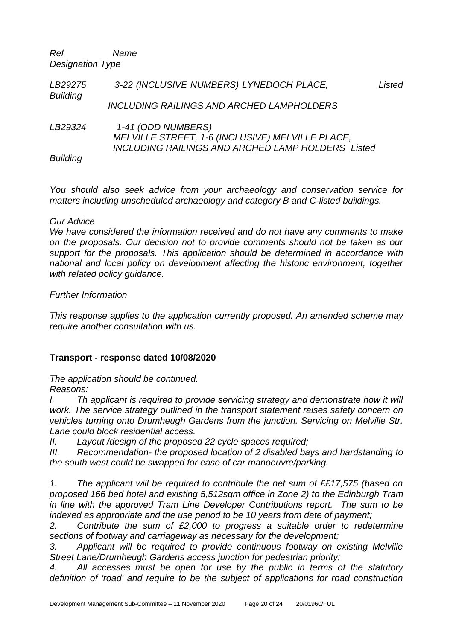*Ref Name Designation Type*

| LB29275<br><b>Building</b> | 3-22 (INCLUSIVE NUMBERS) LYNEDOCH PLACE,                                                                                           | Listed |
|----------------------------|------------------------------------------------------------------------------------------------------------------------------------|--------|
|                            | <b>INCLUDING RAILINGS AND ARCHED LAMPHOLDERS</b>                                                                                   |        |
| LB29324                    | 1-41 (ODD NUMBERS)<br>MELVILLE STREET, 1-6 (INCLUSIVE) MELVILLE PLACE,<br><b>INCLUDING RAILINGS AND ARCHED LAMP HOLDERS Listed</b> |        |
| <b>Building</b>            |                                                                                                                                    |        |

*You should also seek advice from your archaeology and conservation service for matters including unscheduled archaeology and category B and C-listed buildings.*

#### *Our Advice*

*We have considered the information received and do not have any comments to make on the proposals. Our decision not to provide comments should not be taken as our support for the proposals. This application should be determined in accordance with national and local policy on development affecting the historic environment, together with related policy guidance.*

#### *Further Information*

*This response applies to the application currently proposed. An amended scheme may require another consultation with us.*

#### **Transport - response dated 10/08/2020**

*The application should be continued.*

#### *Reasons:*

*I. Th applicant is required to provide servicing strategy and demonstrate how it will work. The service strategy outlined in the transport statement raises safety concern on vehicles turning onto Drumheugh Gardens from the junction. Servicing on Melville Str. Lane could block residential access.*

*II. Layout /design of the proposed 22 cycle spaces required;*

*III. Recommendation- the proposed location of 2 disabled bays and hardstanding to the south west could be swapped for ease of car manoeuvre/parking.*

*1. The applicant will be required to contribute the net sum of ££17,575 (based on proposed 166 bed hotel and existing 5,512sqm office in Zone 2) to the Edinburgh Tram in line with the approved Tram Line Developer Contributions report. The sum to be indexed as appropriate and the use period to be 10 years from date of payment;*

*2. Contribute the sum of £2,000 to progress a suitable order to redetermine sections of footway and carriageway as necessary for the development;*

*3. Applicant will be required to provide continuous footway on existing Melville Street Lane/Drumheugh Gardens access junction for pedestrian priority;*

*4. All accesses must be open for use by the public in terms of the statutory definition of 'road' and require to be the subject of applications for road construction*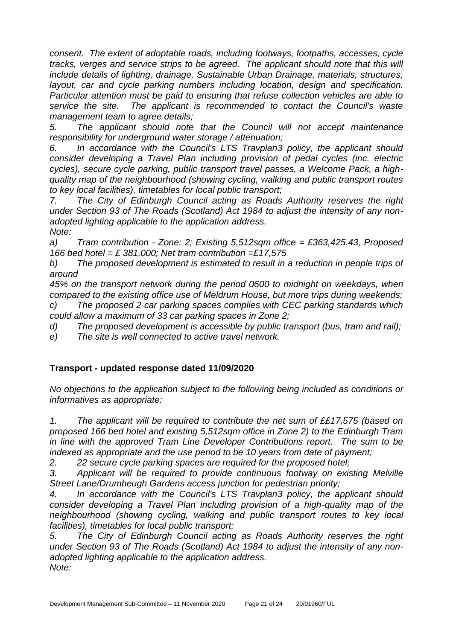*consent. The extent of adoptable roads, including footways, footpaths, accesses, cycle tracks, verges and service strips to be agreed. The applicant should note that this will include details of lighting, drainage, Sustainable Urban Drainage, materials, structures, layout, car and cycle parking numbers including location, design and specification. Particular attention must be paid to ensuring that refuse collection vehicles are able to service the site. The applicant is recommended to contact the Council's waste management team to agree details;*

*5. The applicant should note that the Council will not accept maintenance responsibility for underground water storage / attenuation;*

*6. In accordance with the Council's LTS Travplan3 policy, the applicant should consider developing a Travel Plan including provision of pedal cycles (inc. electric cycles), secure cycle parking, public transport travel passes, a Welcome Pack, a highquality map of the neighbourhood (showing cycling, walking and public transport routes to key local facilities), timetables for local public transport;*

*7. The City of Edinburgh Council acting as Roads Authority reserves the right under Section 93 of The Roads (Scotland) Act 1984 to adjust the intensity of any nonadopted lighting applicable to the application address. Note:*

*a) Tram contribution - Zone: 2; Existing 5,512sqm office = £363,425.43, Proposed 166 bed hotel = £ 381,000; Net tram contribution =£17,575*

*b) The proposed development is estimated to result in a reduction in people trips of around*

*45% on the transport network during the period 0600 to midnight on weekdays, when compared to the existing office use of Meldrum House, but more trips during weekends; c) The proposed 2 car parking spaces complies with CEC parking standards which could allow a maximum of 33 car parking spaces in Zone 2;*

*d) The proposed development is accessible by public transport (bus, tram and rail);*

*e) The site is well connected to active travel network.*

#### **Transport - updated response dated 11/09/2020**

*No objections to the application subject to the following being included as conditions or informatives as appropriate:*

*1. The applicant will be required to contribute the net sum of ££17,575 (based on proposed 166 bed hotel and existing 5,512sqm office in Zone 2) to the Edinburgh Tram in line with the approved Tram Line Developer Contributions report. The sum to be indexed as appropriate and the use period to be 10 years from date of payment;*

*2. 22 secure cycle parking spaces are required for the proposed hotel;*

*3. Applicant will be required to provide continuous footway on existing Melville Street Lane/Drumheugh Gardens access junction for pedestrian priority;*

*4. In accordance with the Council's LTS Travplan3 policy, the applicant should consider developing a Travel Plan including provision of a high-quality map of the neighbourhood (showing cycling, walking and public transport routes to key local facilities), timetables for local public transport;*

*5. The City of Edinburgh Council acting as Roads Authority reserves the right under Section 93 of The Roads (Scotland) Act 1984 to adjust the intensity of any nonadopted lighting applicable to the application address. Note:*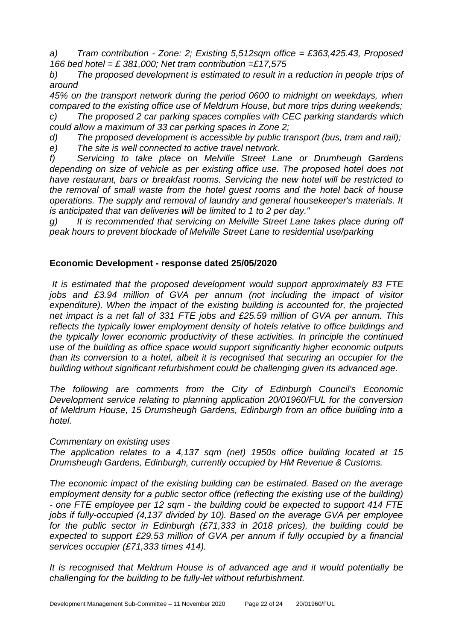*a) Tram contribution - Zone: 2; Existing 5,512sqm office = £363,425.43, Proposed 166 bed hotel = £ 381,000; Net tram contribution =£17,575*

*b) The proposed development is estimated to result in a reduction in people trips of around*

*45% on the transport network during the period 0600 to midnight on weekdays, when compared to the existing office use of Meldrum House, but more trips during weekends; c) The proposed 2 car parking spaces complies with CEC parking standards which could allow a maximum of 33 car parking spaces in Zone 2;*

*d) The proposed development is accessible by public transport (bus, tram and rail);*

*e) The site is well connected to active travel network.*

*f) Servicing to take place on Melville Street Lane or Drumheugh Gardens depending on size of vehicle as per existing office use. The proposed hotel does not have restaurant, bars or breakfast rooms. Servicing the new hotel will be restricted to the removal of small waste from the hotel guest rooms and the hotel back of house operations. The supply and removal of laundry and general housekeeper's materials. It is anticipated that van deliveries will be limited to 1 to 2 per day."*

*g) It is recommended that servicing on Melville Street Lane takes place during off peak hours to prevent blockade of Melville Street Lane to residential use/parking*

## **Economic Development - response dated 25/05/2020**

*It is estimated that the proposed development would support approximately 83 FTE*  jobs and £3.94 million of GVA per annum (not including the impact of visitor *expenditure). When the impact of the existing building is accounted for, the projected net impact is a net fall of 331 FTE jobs and £25.59 million of GVA per annum. This reflects the typically lower employment density of hotels relative to office buildings and the typically lower economic productivity of these activities. In principle the continued use of the building as office space would support significantly higher economic outputs than its conversion to a hotel, albeit it is recognised that securing an occupier for the building without significant refurbishment could be challenging given its advanced age.*

*The following are comments from the City of Edinburgh Council's Economic Development service relating to planning application 20/01960/FUL for the conversion of Meldrum House, 15 Drumsheugh Gardens, Edinburgh from an office building into a hotel.*

#### *Commentary on existing uses*

*The application relates to a 4,137 sqm (net) 1950s office building located at 15 Drumsheugh Gardens, Edinburgh, currently occupied by HM Revenue & Customs.*

*The economic impact of the existing building can be estimated. Based on the average employment density for a public sector office (reflecting the existing use of the building) - one FTE employee per 12 sqm - the building could be expected to support 414 FTE jobs if fully-occupied (4,137 divided by 10). Based on the average GVA per employee for the public sector in Edinburgh (£71,333 in 2018 prices), the building could be expected to support £29.53 million of GVA per annum if fully occupied by a financial services occupier (£71,333 times 414).*

*It is recognised that Meldrum House is of advanced age and it would potentially be challenging for the building to be fully-let without refurbishment.*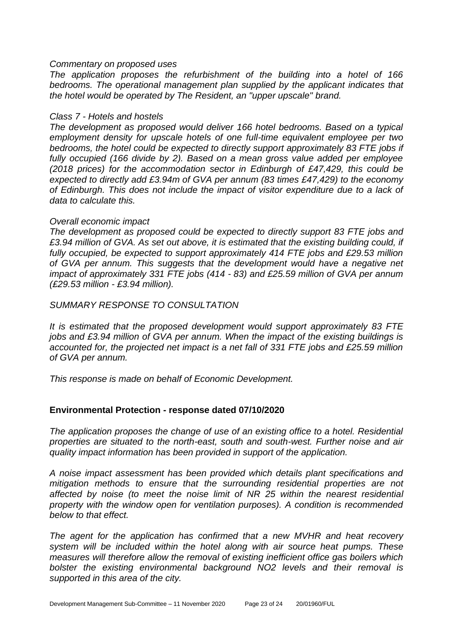#### *Commentary on proposed uses*

*The application proposes the refurbishment of the building into a hotel of 166 bedrooms. The operational management plan supplied by the applicant indicates that the hotel would be operated by The Resident, an "upper upscale" brand.*

#### *Class 7 - Hotels and hostels*

*The development as proposed would deliver 166 hotel bedrooms. Based on a typical employment density for upscale hotels of one full-time equivalent employee per two bedrooms, the hotel could be expected to directly support approximately 83 FTE jobs if fully occupied (166 divide by 2). Based on a mean gross value added per employee (2018 prices) for the accommodation sector in Edinburgh of £47,429, this could be expected to directly add £3.94m of GVA per annum (83 times £47,429) to the economy of Edinburgh. This does not include the impact of visitor expenditure due to a lack of data to calculate this.*

#### *Overall economic impact*

*The development as proposed could be expected to directly support 83 FTE jobs and £3.94 million of GVA. As set out above, it is estimated that the existing building could, if fully occupied, be expected to support approximately 414 FTE jobs and £29.53 million of GVA per annum. This suggests that the development would have a negative net impact of approximately 331 FTE jobs (414 - 83) and £25.59 million of GVA per annum (£29.53 million - £3.94 million).*

*SUMMARY RESPONSE TO CONSULTATION*

*It is estimated that the proposed development would support approximately 83 FTE jobs and £3.94 million of GVA per annum. When the impact of the existing buildings is accounted for, the projected net impact is a net fall of 331 FTE jobs and £25.59 million of GVA per annum.*

*This response is made on behalf of Economic Development.*

#### **Environmental Protection - response dated 07/10/2020**

*The application proposes the change of use of an existing office to a hotel. Residential properties are situated to the north-east, south and south-west. Further noise and air quality impact information has been provided in support of the application.*

*A noise impact assessment has been provided which details plant specifications and mitigation methods to ensure that the surrounding residential properties are not affected by noise (to meet the noise limit of NR 25 within the nearest residential property with the window open for ventilation purposes). A condition is recommended below to that effect.* 

*The agent for the application has confirmed that a new MVHR and heat recovery system will be included within the hotel along with air source heat pumps. These measures will therefore allow the removal of existing inefficient office gas boilers which bolster the existing environmental background NO2 levels and their removal is supported in this area of the city.*